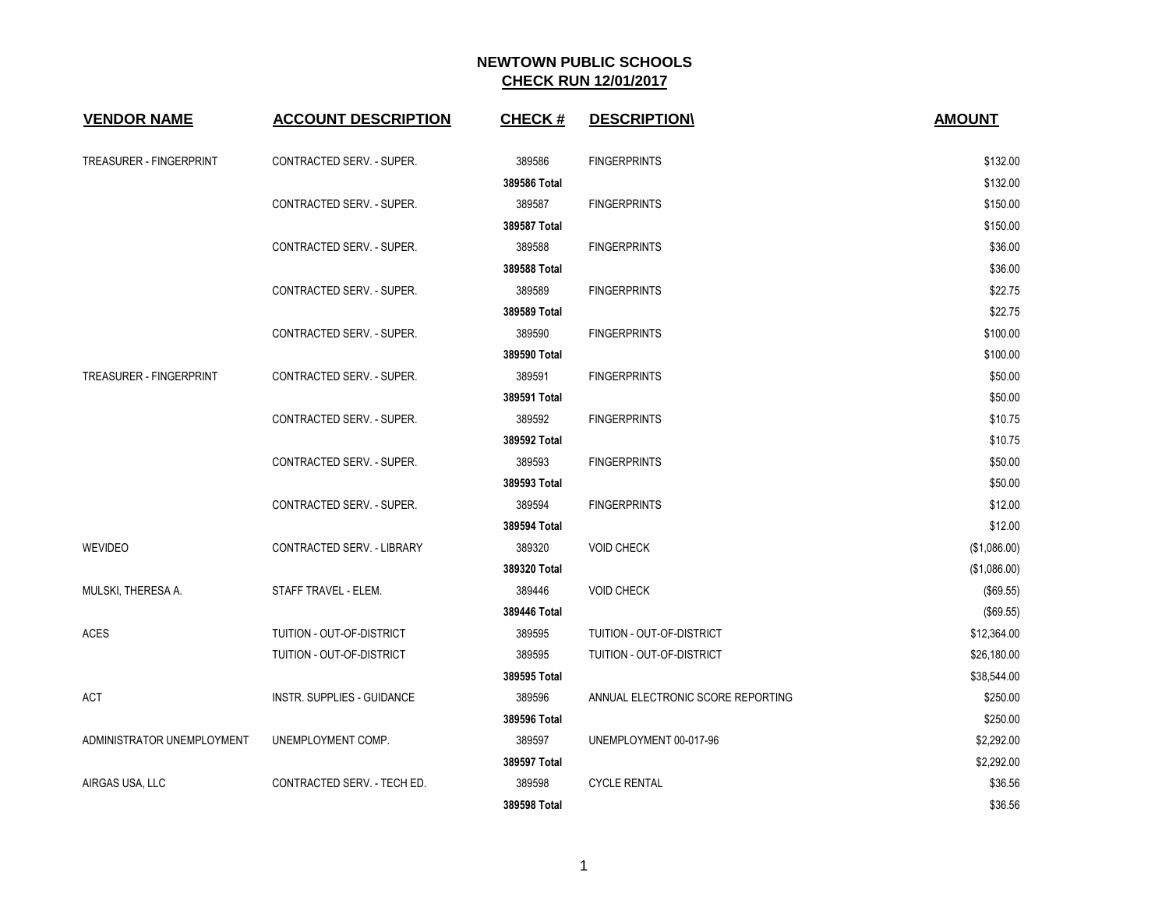| <b>VENDOR NAME</b>         | <b>ACCOUNT DESCRIPTION</b>  | <b>CHECK#</b> | <b>DESCRIPTION\</b>               | <b>AMOUNT</b> |
|----------------------------|-----------------------------|---------------|-----------------------------------|---------------|
| TREASURER - FINGERPRINT    | CONTRACTED SERV. - SUPER.   | 389586        | <b>FINGERPRINTS</b>               | \$132.00      |
|                            |                             | 389586 Total  |                                   | \$132.00      |
|                            | CONTRACTED SERV. - SUPER.   | 389587        | <b>FINGERPRINTS</b>               | \$150.00      |
|                            |                             | 389587 Total  |                                   | \$150.00      |
|                            | CONTRACTED SERV. - SUPER.   | 389588        | <b>FINGERPRINTS</b>               | \$36.00       |
|                            |                             | 389588 Total  |                                   | \$36.00       |
|                            | CONTRACTED SERV. - SUPER.   | 389589        | <b>FINGERPRINTS</b>               | \$22.75       |
|                            |                             | 389589 Total  |                                   | \$22.75       |
|                            | CONTRACTED SERV. - SUPER.   | 389590        | <b>FINGERPRINTS</b>               | \$100.00      |
|                            |                             | 389590 Total  |                                   | \$100.00      |
| TREASURER - FINGERPRINT    | CONTRACTED SERV. - SUPER.   | 389591        | <b>FINGERPRINTS</b>               | \$50.00       |
|                            |                             | 389591 Total  |                                   | \$50.00       |
|                            | CONTRACTED SERV. - SUPER.   | 389592        | <b>FINGERPRINTS</b>               | \$10.75       |
|                            |                             | 389592 Total  |                                   | \$10.75       |
|                            | CONTRACTED SERV. - SUPER.   | 389593        | <b>FINGERPRINTS</b>               | \$50.00       |
|                            |                             | 389593 Total  |                                   | \$50.00       |
|                            | CONTRACTED SERV. - SUPER.   | 389594        | <b>FINGERPRINTS</b>               | \$12.00       |
|                            |                             | 389594 Total  |                                   | \$12.00       |
| <b>WEVIDEO</b>             | CONTRACTED SERV. - LIBRARY  | 389320        | <b>VOID CHECK</b>                 | (\$1,086.00)  |
|                            |                             | 389320 Total  |                                   | (\$1,086.00)  |
| MULSKI, THERESA A.         | STAFF TRAVEL - ELEM.        | 389446        | <b>VOID CHECK</b>                 | (\$69.55)     |
|                            |                             | 389446 Total  |                                   | (\$69.55)     |
| <b>ACES</b>                | TUITION - OUT-OF-DISTRICT   | 389595        | TUITION - OUT-OF-DISTRICT         | \$12,364.00   |
|                            | TUITION - OUT-OF-DISTRICT   | 389595        | TUITION - OUT-OF-DISTRICT         | \$26,180.00   |
|                            |                             | 389595 Total  |                                   | \$38,544.00   |
| ACT                        | INSTR. SUPPLIES - GUIDANCE  | 389596        | ANNUAL ELECTRONIC SCORE REPORTING | \$250.00      |
|                            |                             | 389596 Total  |                                   | \$250.00      |
| ADMINISTRATOR UNEMPLOYMENT | UNEMPLOYMENT COMP.          | 389597        | UNEMPLOYMENT 00-017-96            | \$2,292.00    |
|                            |                             | 389597 Total  |                                   | \$2,292.00    |
| AIRGAS USA, LLC            | CONTRACTED SERV. - TECH ED. | 389598        | <b>CYCLE RENTAL</b>               | \$36.56       |
|                            |                             | 389598 Total  |                                   | \$36.56       |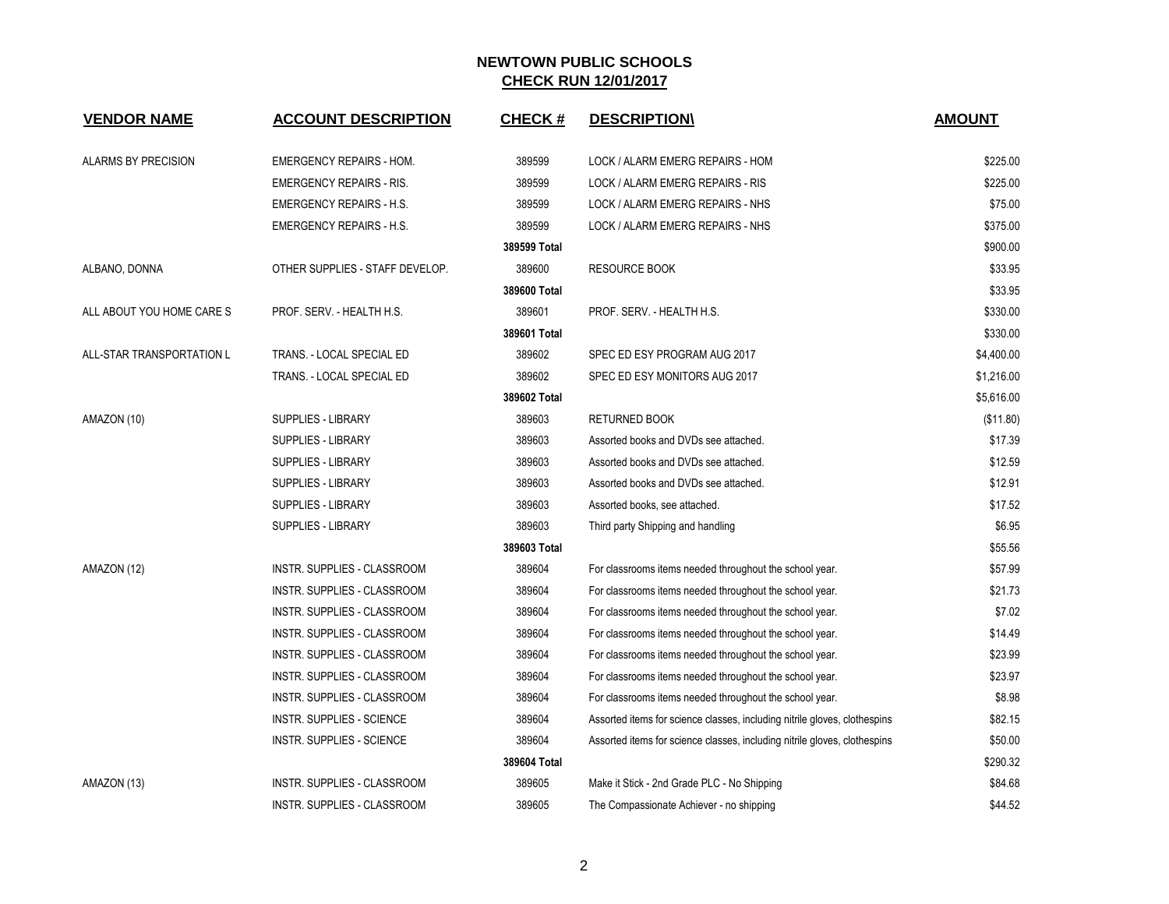| <b>VENDOR NAME</b>        | <b>ACCOUNT DESCRIPTION</b>         | <b>CHECK#</b> | <b>DESCRIPTION</b>                                                        | <b>AMOUNT</b> |
|---------------------------|------------------------------------|---------------|---------------------------------------------------------------------------|---------------|
|                           |                                    |               |                                                                           |               |
| ALARMS BY PRECISION       | EMERGENCY REPAIRS - HOM.           | 389599        | LOCK / ALARM EMERG REPAIRS - HOM                                          | \$225.00      |
|                           | <b>EMERGENCY REPAIRS - RIS.</b>    | 389599        | LOCK / ALARM EMERG REPAIRS - RIS                                          | \$225.00      |
|                           | <b>EMERGENCY REPAIRS - H.S.</b>    | 389599        | LOCK / ALARM EMERG REPAIRS - NHS                                          | \$75.00       |
|                           | <b>EMERGENCY REPAIRS - H.S.</b>    | 389599        | LOCK / ALARM EMERG REPAIRS - NHS                                          | \$375.00      |
|                           |                                    | 389599 Total  |                                                                           | \$900.00      |
| ALBANO, DONNA             | OTHER SUPPLIES - STAFF DEVELOP.    | 389600        | <b>RESOURCE BOOK</b>                                                      | \$33.95       |
|                           |                                    | 389600 Total  |                                                                           | \$33.95       |
| ALL ABOUT YOU HOME CARE S | PROF. SERV. - HEALTH H.S.          | 389601        | PROF. SERV. - HEALTH H.S.                                                 | \$330.00      |
|                           |                                    | 389601 Total  |                                                                           | \$330.00      |
| ALL-STAR TRANSPORTATION L | TRANS. - LOCAL SPECIAL ED          | 389602        | SPEC ED ESY PROGRAM AUG 2017                                              | \$4,400.00    |
|                           | TRANS. - LOCAL SPECIAL ED          | 389602        | SPEC ED ESY MONITORS AUG 2017                                             | \$1,216.00    |
|                           |                                    | 389602 Total  |                                                                           | \$5,616.00    |
| AMAZON (10)               | SUPPLIES - LIBRARY                 | 389603        | <b>RETURNED BOOK</b>                                                      | (\$11.80)     |
|                           | <b>SUPPLIES - LIBRARY</b>          | 389603        | Assorted books and DVDs see attached.                                     | \$17.39       |
|                           | <b>SUPPLIES - LIBRARY</b>          | 389603        | Assorted books and DVDs see attached.                                     | \$12.59       |
|                           | <b>SUPPLIES - LIBRARY</b>          | 389603        | Assorted books and DVDs see attached.                                     | \$12.91       |
|                           | <b>SUPPLIES - LIBRARY</b>          | 389603        | Assorted books, see attached.                                             | \$17.52       |
|                           | SUPPLIES - LIBRARY                 | 389603        | Third party Shipping and handling                                         | \$6.95        |
|                           |                                    | 389603 Total  |                                                                           | \$55.56       |
| AMAZON (12)               | INSTR. SUPPLIES - CLASSROOM        | 389604        | For classrooms items needed throughout the school year.                   | \$57.99       |
|                           | INSTR. SUPPLIES - CLASSROOM        | 389604        | For classrooms items needed throughout the school year.                   | \$21.73       |
|                           | <b>INSTR. SUPPLIES - CLASSROOM</b> | 389604        | For classrooms items needed throughout the school year.                   | \$7.02        |
|                           | INSTR. SUPPLIES - CLASSROOM        | 389604        | For classrooms items needed throughout the school year.                   | \$14.49       |
|                           | INSTR. SUPPLIES - CLASSROOM        | 389604        | For classrooms items needed throughout the school year.                   | \$23.99       |
|                           | INSTR. SUPPLIES - CLASSROOM        | 389604        | For classrooms items needed throughout the school year.                   | \$23.97       |
|                           | INSTR. SUPPLIES - CLASSROOM        | 389604        | For classrooms items needed throughout the school year.                   | \$8.98        |
|                           | INSTR. SUPPLIES - SCIENCE          | 389604        | Assorted items for science classes, including nitrile gloves, clothespins | \$82.15       |
|                           | INSTR. SUPPLIES - SCIENCE          | 389604        | Assorted items for science classes, including nitrile gloves, clothespins | \$50.00       |
|                           |                                    | 389604 Total  |                                                                           | \$290.32      |
| AMAZON (13)               | INSTR. SUPPLIES - CLASSROOM        | 389605        | Make it Stick - 2nd Grade PLC - No Shipping                               | \$84.68       |
|                           | <b>INSTR. SUPPLIES - CLASSROOM</b> | 389605        | The Compassionate Achiever - no shipping                                  | \$44.52       |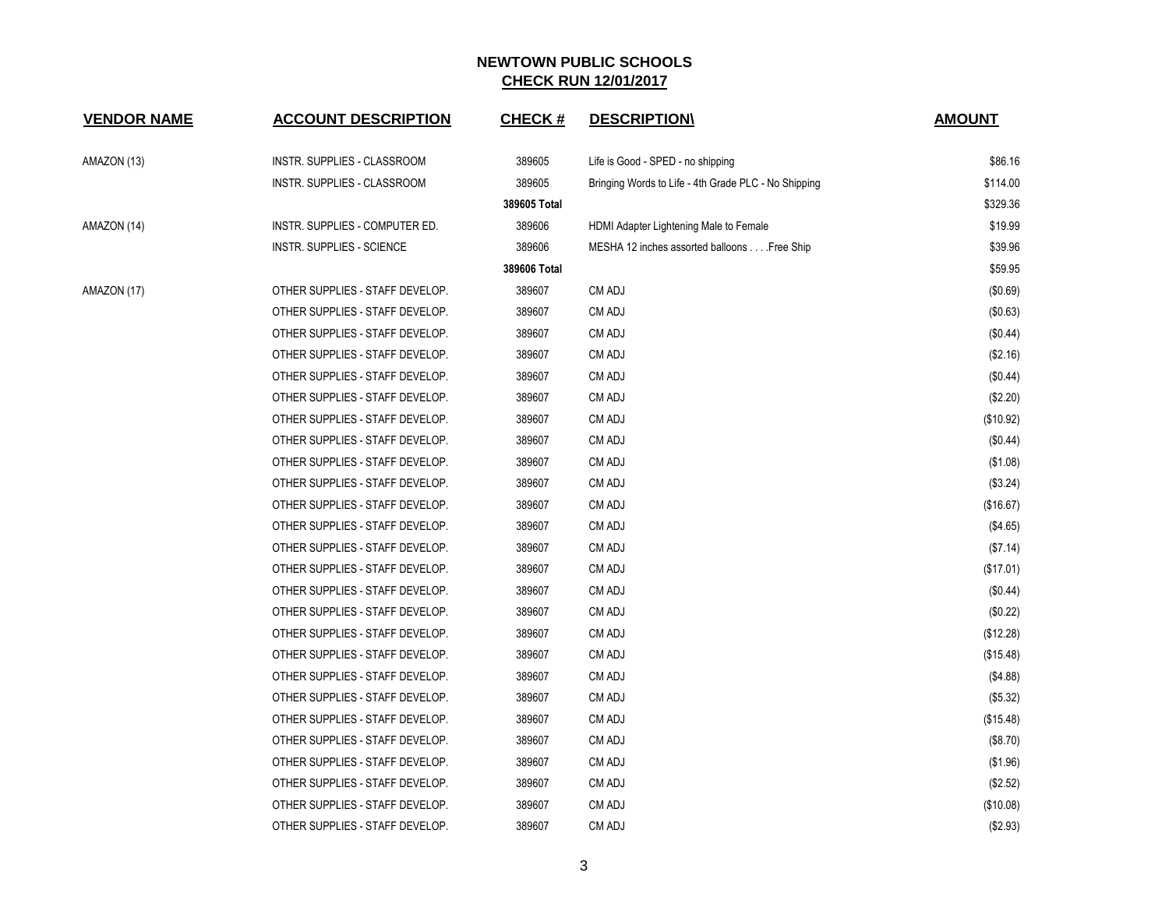| <b>VENDOR NAME</b> | <b>ACCOUNT DESCRIPTION</b>       | <b>CHECK#</b> | <b>DESCRIPTION\</b>                                  | <b>AMOUNT</b> |
|--------------------|----------------------------------|---------------|------------------------------------------------------|---------------|
| AMAZON (13)        | INSTR. SUPPLIES - CLASSROOM      | 389605        | Life is Good - SPED - no shipping                    | \$86.16       |
|                    | INSTR. SUPPLIES - CLASSROOM      | 389605        | Bringing Words to Life - 4th Grade PLC - No Shipping | \$114.00      |
|                    |                                  | 389605 Total  |                                                      | \$329.36      |
| AMAZON (14)        | INSTR. SUPPLIES - COMPUTER ED.   | 389606        | HDMI Adapter Lightening Male to Female               | \$19.99       |
|                    | <b>INSTR. SUPPLIES - SCIENCE</b> | 389606        | MESHA 12 inches assorted balloons Free Ship          | \$39.96       |
|                    |                                  | 389606 Total  |                                                      | \$59.95       |
| AMAZON (17)        | OTHER SUPPLIES - STAFF DEVELOP.  | 389607        | CM ADJ                                               | (\$0.69)      |
|                    | OTHER SUPPLIES - STAFF DEVELOP.  | 389607        | CM ADJ                                               | (\$0.63)      |
|                    | OTHER SUPPLIES - STAFF DEVELOP.  | 389607        | CM ADJ                                               | (\$0.44)      |
|                    | OTHER SUPPLIES - STAFF DEVELOP.  | 389607        | CM ADJ                                               | (\$2.16)      |
|                    | OTHER SUPPLIES - STAFF DEVELOP.  | 389607        | CM ADJ                                               | $(\$0.44)$    |
|                    | OTHER SUPPLIES - STAFF DEVELOP.  | 389607        | CM ADJ                                               | (\$2.20)      |
|                    | OTHER SUPPLIES - STAFF DEVELOP.  | 389607        | CM ADJ                                               | (\$10.92)     |
|                    | OTHER SUPPLIES - STAFF DEVELOP.  | 389607        | CM ADJ                                               | (\$0.44)      |
|                    | OTHER SUPPLIES - STAFF DEVELOP.  | 389607        | CM ADJ                                               | (\$1.08)      |
|                    | OTHER SUPPLIES - STAFF DEVELOP.  | 389607        | CM ADJ                                               | (\$3.24)      |
|                    | OTHER SUPPLIES - STAFF DEVELOP.  | 389607        | CM ADJ                                               | (\$16.67)     |
|                    | OTHER SUPPLIES - STAFF DEVELOP.  | 389607        | CM ADJ                                               | (\$4.65)      |
|                    | OTHER SUPPLIES - STAFF DEVELOP.  | 389607        | CM ADJ                                               | (\$7.14)      |
|                    | OTHER SUPPLIES - STAFF DEVELOP.  | 389607        | CM ADJ                                               | (\$17.01)     |
|                    | OTHER SUPPLIES - STAFF DEVELOP.  | 389607        | CM ADJ                                               | $(\$0.44)$    |
|                    | OTHER SUPPLIES - STAFF DEVELOP.  | 389607        | CM ADJ                                               | (\$0.22)      |
|                    | OTHER SUPPLIES - STAFF DEVELOP.  | 389607        | CM ADJ                                               | (\$12.28)     |
|                    | OTHER SUPPLIES - STAFF DEVELOP.  | 389607        | CM ADJ                                               | (\$15.48)     |
|                    | OTHER SUPPLIES - STAFF DEVELOP.  | 389607        | CM ADJ                                               | (\$4.88)      |
|                    | OTHER SUPPLIES - STAFF DEVELOP.  | 389607        | CM ADJ                                               | (\$5.32)      |
|                    | OTHER SUPPLIES - STAFF DEVELOP.  | 389607        | CM ADJ                                               | (\$15.48)     |
|                    | OTHER SUPPLIES - STAFF DEVELOP.  | 389607        | CM ADJ                                               | (\$8.70)      |
|                    | OTHER SUPPLIES - STAFF DEVELOP.  | 389607        | CM ADJ                                               | (\$1.96)      |
|                    | OTHER SUPPLIES - STAFF DEVELOP.  | 389607        | CM ADJ                                               | (\$2.52)      |
|                    | OTHER SUPPLIES - STAFF DEVELOP.  | 389607        | CM ADJ                                               | (\$10.08)     |
|                    | OTHER SUPPLIES - STAFF DEVELOP.  | 389607        | CM ADJ                                               | (\$2.93)      |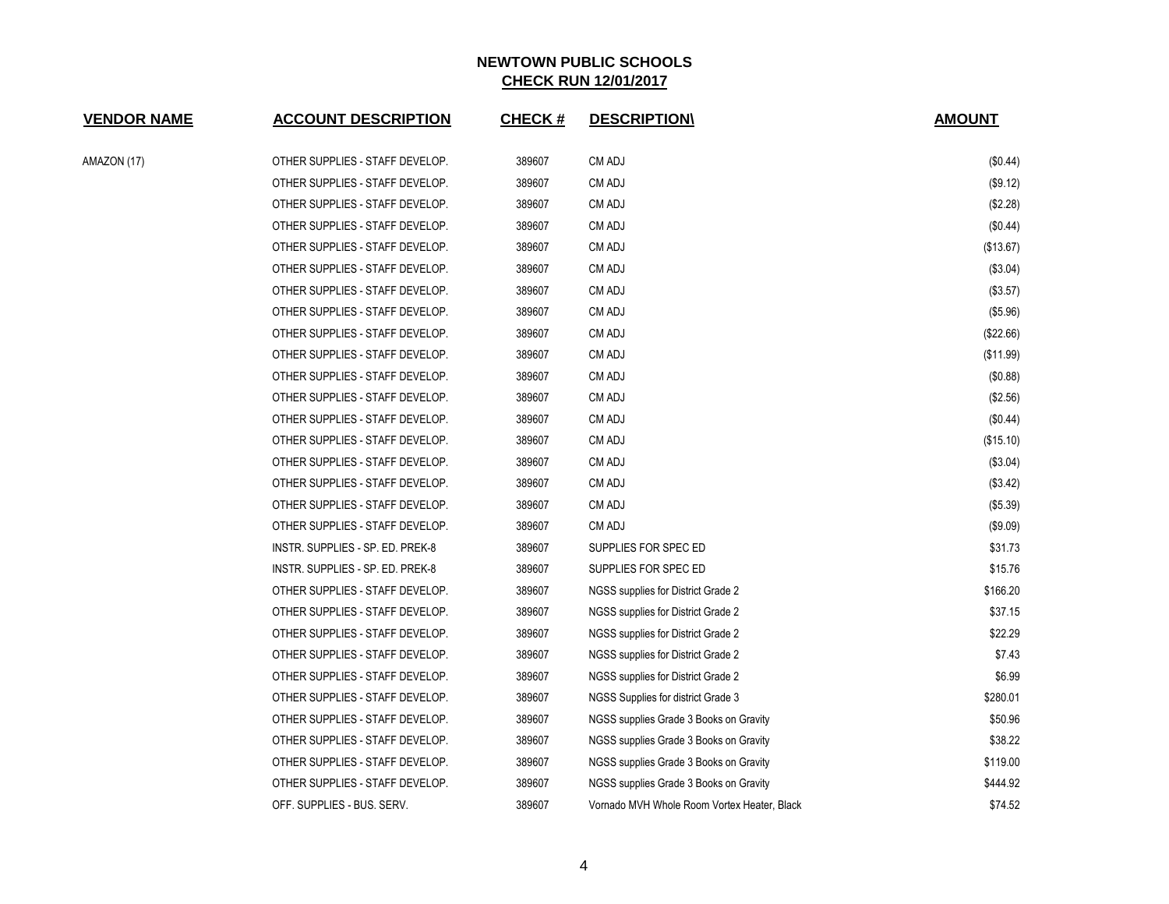| <b>VENDOR NAME</b> | <b>ACCOUNT DESCRIPTION</b>       | <b>CHECK#</b> | <b>DESCRIPTION\</b>                         | <b>AMOUNT</b> |
|--------------------|----------------------------------|---------------|---------------------------------------------|---------------|
| AMAZON (17)        | OTHER SUPPLIES - STAFF DEVELOP.  | 389607        | CM ADJ                                      | (\$0.44)      |
|                    | OTHER SUPPLIES - STAFF DEVELOP.  | 389607        | CM ADJ                                      | (\$9.12)      |
|                    | OTHER SUPPLIES - STAFF DEVELOP.  | 389607        | CM ADJ                                      | (\$2.28)      |
|                    | OTHER SUPPLIES - STAFF DEVELOP.  | 389607        | CM ADJ                                      | (\$0.44)      |
|                    | OTHER SUPPLIES - STAFF DEVELOP.  | 389607        | CM ADJ                                      | (\$13.67)     |
|                    | OTHER SUPPLIES - STAFF DEVELOP.  | 389607        | CM ADJ                                      | (\$3.04)      |
|                    | OTHER SUPPLIES - STAFF DEVELOP.  | 389607        | CM ADJ                                      | (\$3.57)      |
|                    | OTHER SUPPLIES - STAFF DEVELOP.  | 389607        | CM ADJ                                      | (\$5.96)      |
|                    | OTHER SUPPLIES - STAFF DEVELOP.  | 389607        | CM ADJ                                      | (\$22.66)     |
|                    | OTHER SUPPLIES - STAFF DEVELOP.  | 389607        | CM ADJ                                      | (\$11.99)     |
|                    | OTHER SUPPLIES - STAFF DEVELOP.  | 389607        | CM ADJ                                      | (\$0.88)      |
|                    | OTHER SUPPLIES - STAFF DEVELOP.  | 389607        | CM ADJ                                      | (\$2.56)      |
|                    | OTHER SUPPLIES - STAFF DEVELOP.  | 389607        | CM ADJ                                      | (\$0.44)      |
|                    | OTHER SUPPLIES - STAFF DEVELOP.  | 389607        | CM ADJ                                      | (\$15.10)     |
|                    | OTHER SUPPLIES - STAFF DEVELOP.  | 389607        | CM ADJ                                      | (\$3.04)      |
|                    | OTHER SUPPLIES - STAFF DEVELOP.  | 389607        | CM ADJ                                      | (\$3.42)      |
|                    | OTHER SUPPLIES - STAFF DEVELOP.  | 389607        | CM ADJ                                      | (\$5.39)      |
|                    | OTHER SUPPLIES - STAFF DEVELOP.  | 389607        | CM ADJ                                      | (\$9.09)      |
|                    | INSTR. SUPPLIES - SP. ED. PREK-8 | 389607        | SUPPLIES FOR SPEC ED                        | \$31.73       |
|                    | INSTR. SUPPLIES - SP. ED. PREK-8 | 389607        | SUPPLIES FOR SPEC ED                        | \$15.76       |
|                    | OTHER SUPPLIES - STAFF DEVELOP.  | 389607        | NGSS supplies for District Grade 2          | \$166.20      |
|                    | OTHER SUPPLIES - STAFF DEVELOP.  | 389607        | NGSS supplies for District Grade 2          | \$37.15       |
|                    | OTHER SUPPLIES - STAFF DEVELOP.  | 389607        | NGSS supplies for District Grade 2          | \$22.29       |
|                    | OTHER SUPPLIES - STAFF DEVELOP.  | 389607        | NGSS supplies for District Grade 2          | \$7.43        |
|                    | OTHER SUPPLIES - STAFF DEVELOP.  | 389607        | NGSS supplies for District Grade 2          | \$6.99        |
|                    | OTHER SUPPLIES - STAFF DEVELOP.  | 389607        | NGSS Supplies for district Grade 3          | \$280.01      |
|                    | OTHER SUPPLIES - STAFF DEVELOP.  | 389607        | NGSS supplies Grade 3 Books on Gravity      | \$50.96       |
|                    | OTHER SUPPLIES - STAFF DEVELOP.  | 389607        | NGSS supplies Grade 3 Books on Gravity      | \$38.22       |
|                    | OTHER SUPPLIES - STAFF DEVELOP.  | 389607        | NGSS supplies Grade 3 Books on Gravity      | \$119.00      |
|                    | OTHER SUPPLIES - STAFF DEVELOP.  | 389607        | NGSS supplies Grade 3 Books on Gravity      | \$444.92      |
|                    | OFF. SUPPLIES - BUS. SERV.       | 389607        | Vornado MVH Whole Room Vortex Heater, Black | \$74.52       |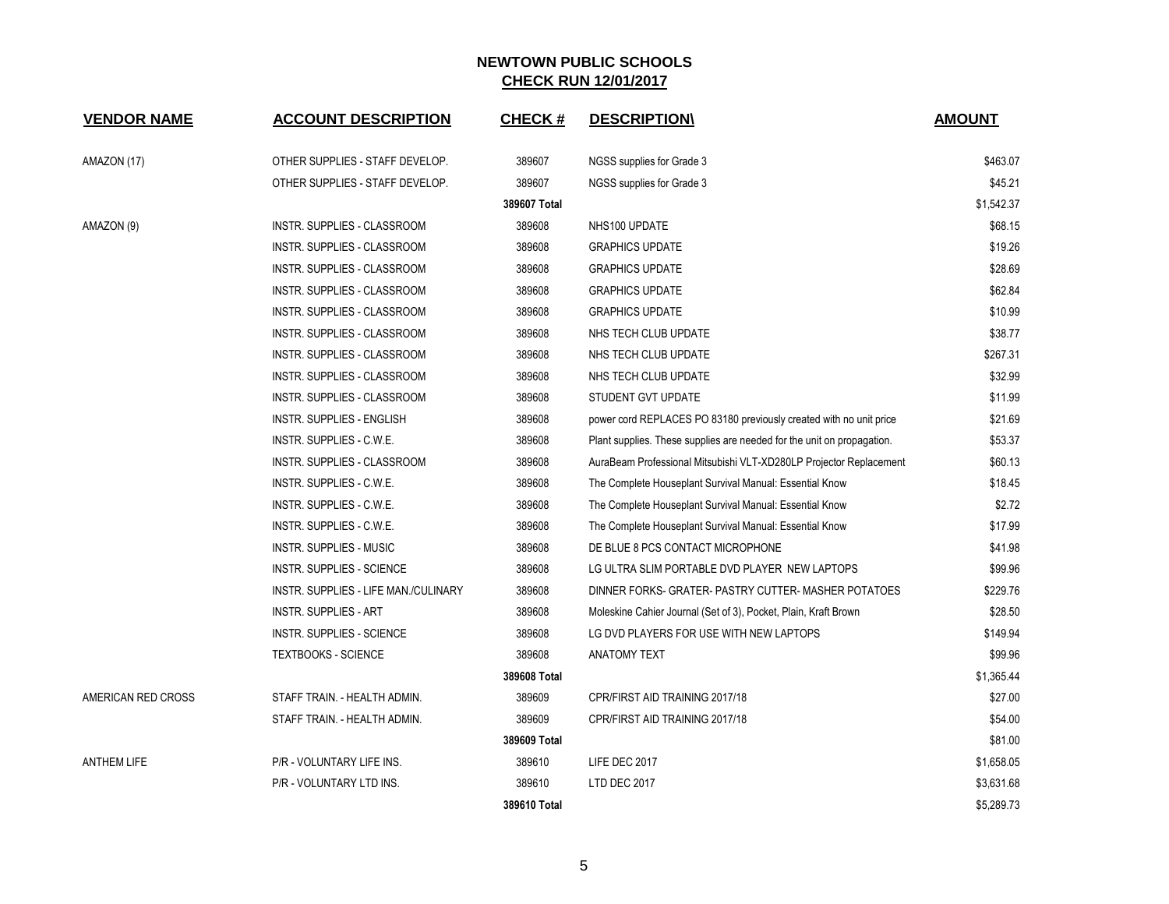| <b>VENDOR NAME</b> | <b>ACCOUNT DESCRIPTION</b>           | <b>CHECK#</b> | <b>DESCRIPTION</b>                                                     | <b>AMOUNT</b> |
|--------------------|--------------------------------------|---------------|------------------------------------------------------------------------|---------------|
|                    |                                      |               |                                                                        |               |
| AMAZON (17)        | OTHER SUPPLIES - STAFF DEVELOP.      | 389607        | NGSS supplies for Grade 3                                              | \$463.07      |
|                    | OTHER SUPPLIES - STAFF DEVELOP.      | 389607        | NGSS supplies for Grade 3                                              | \$45.21       |
|                    |                                      | 389607 Total  |                                                                        | \$1,542.37    |
| AMAZON (9)         | <b>INSTR. SUPPLIES - CLASSROOM</b>   | 389608        | NHS100 UPDATE                                                          | \$68.15       |
|                    | INSTR. SUPPLIES - CLASSROOM          | 389608        | <b>GRAPHICS UPDATE</b>                                                 | \$19.26       |
|                    | INSTR. SUPPLIES - CLASSROOM          | 389608        | <b>GRAPHICS UPDATE</b>                                                 | \$28.69       |
|                    | INSTR. SUPPLIES - CLASSROOM          | 389608        | <b>GRAPHICS UPDATE</b>                                                 | \$62.84       |
|                    | INSTR. SUPPLIES - CLASSROOM          | 389608        | <b>GRAPHICS UPDATE</b>                                                 | \$10.99       |
|                    | INSTR. SUPPLIES - CLASSROOM          | 389608        | NHS TECH CLUB UPDATE                                                   | \$38.77       |
|                    | INSTR. SUPPLIES - CLASSROOM          | 389608        | NHS TECH CLUB UPDATE                                                   | \$267.31      |
|                    | INSTR. SUPPLIES - CLASSROOM          | 389608        | NHS TECH CLUB UPDATE                                                   | \$32.99       |
|                    | INSTR. SUPPLIES - CLASSROOM          | 389608        | STUDENT GVT UPDATE                                                     | \$11.99       |
|                    | <b>INSTR. SUPPLIES - ENGLISH</b>     | 389608        | power cord REPLACES PO 83180 previously created with no unit price     | \$21.69       |
|                    | INSTR. SUPPLIES - C.W.E.             | 389608        | Plant supplies. These supplies are needed for the unit on propagation. | \$53.37       |
|                    | INSTR. SUPPLIES - CLASSROOM          | 389608        | AuraBeam Professional Mitsubishi VLT-XD280LP Projector Replacement     | \$60.13       |
|                    | INSTR. SUPPLIES - C.W.E.             | 389608        | The Complete Houseplant Survival Manual: Essential Know                | \$18.45       |
|                    | INSTR. SUPPLIES - C.W.E.             | 389608        | The Complete Houseplant Survival Manual: Essential Know                | \$2.72        |
|                    | INSTR. SUPPLIES - C.W.E.             | 389608        | The Complete Houseplant Survival Manual: Essential Know                | \$17.99       |
|                    | <b>INSTR. SUPPLIES - MUSIC</b>       | 389608        | DE BLUE 8 PCS CONTACT MICROPHONE                                       | \$41.98       |
|                    | <b>INSTR. SUPPLIES - SCIENCE</b>     | 389608        | LG ULTRA SLIM PORTABLE DVD PLAYER NEW LAPTOPS                          | \$99.96       |
|                    | INSTR. SUPPLIES - LIFE MAN./CULINARY | 389608        | DINNER FORKS- GRATER- PASTRY CUTTER- MASHER POTATOES                   | \$229.76      |
|                    | <b>INSTR. SUPPLIES - ART</b>         | 389608        | Moleskine Cahier Journal (Set of 3), Pocket, Plain, Kraft Brown        | \$28.50       |
|                    | <b>INSTR. SUPPLIES - SCIENCE</b>     | 389608        | LG DVD PLAYERS FOR USE WITH NEW LAPTOPS                                | \$149.94      |
|                    | <b>TEXTBOOKS - SCIENCE</b>           | 389608        | <b>ANATOMY TEXT</b>                                                    | \$99.96       |
|                    |                                      | 389608 Total  |                                                                        | \$1,365.44    |
| AMERICAN RED CROSS | STAFF TRAIN. - HEALTH ADMIN.         | 389609        | CPR/FIRST AID TRAINING 2017/18                                         | \$27.00       |
|                    | STAFF TRAIN. - HEALTH ADMIN.         | 389609        | CPR/FIRST AID TRAINING 2017/18                                         | \$54.00       |
|                    |                                      | 389609 Total  |                                                                        | \$81.00       |
| <b>ANTHEM LIFE</b> | P/R - VOLUNTARY LIFE INS.            | 389610        | LIFE DEC 2017                                                          | \$1,658.05    |
|                    | P/R - VOLUNTARY LTD INS.             | 389610        | LTD DEC 2017                                                           | \$3,631.68    |
|                    |                                      | 389610 Total  |                                                                        | \$5.289.73    |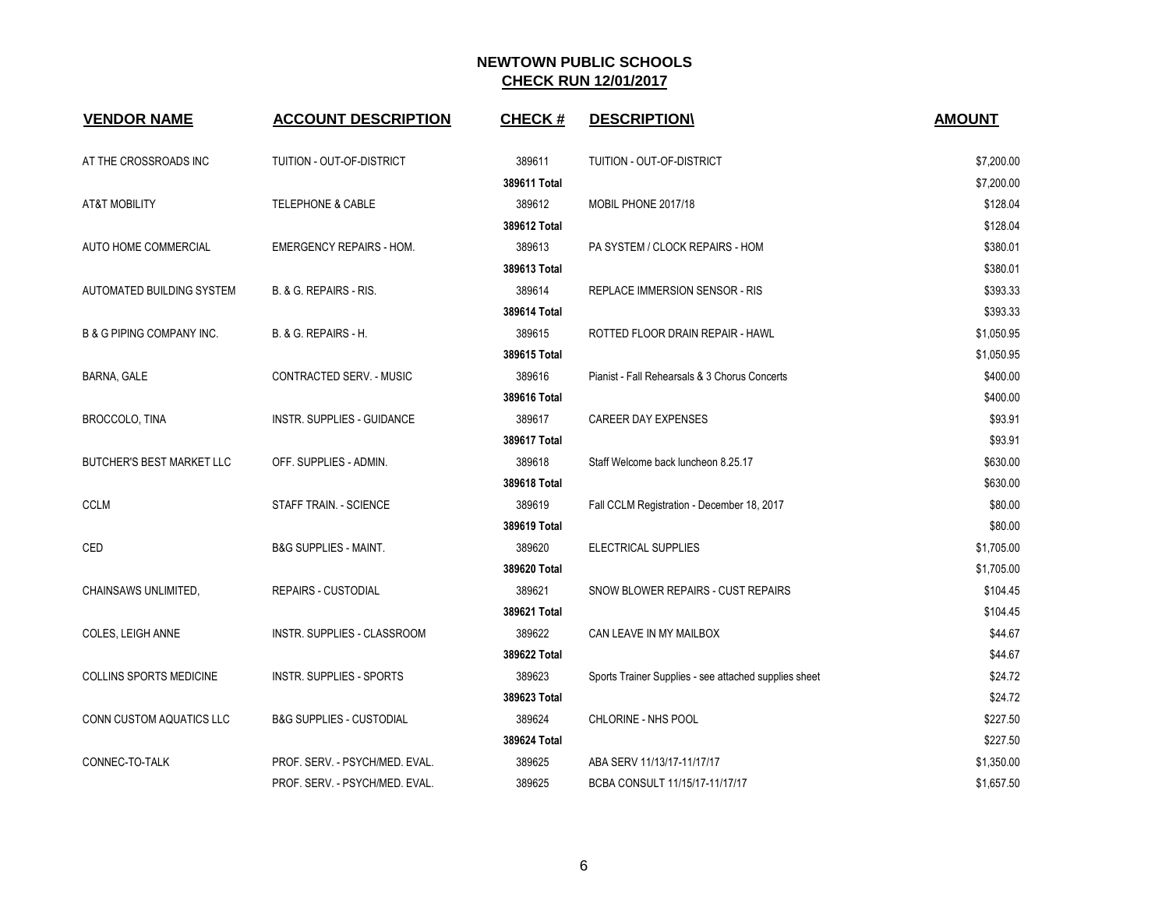| <b>VENDOR NAME</b>                   | <b>ACCOUNT DESCRIPTION</b>          | <b>CHECK#</b> | <b>DESCRIPTION\</b>                                   | <b>AMOUNT</b> |
|--------------------------------------|-------------------------------------|---------------|-------------------------------------------------------|---------------|
| AT THE CROSSROADS INC                | TUITION - OUT-OF-DISTRICT           | 389611        | TUITION - OUT-OF-DISTRICT                             | \$7,200.00    |
|                                      |                                     | 389611 Total  |                                                       | \$7,200.00    |
| AT&T MOBILITY                        | TELEPHONE & CABLE                   | 389612        | MOBIL PHONE 2017/18                                   | \$128.04      |
|                                      |                                     | 389612 Total  |                                                       | \$128.04      |
| AUTO HOME COMMERCIAL                 | <b>EMERGENCY REPAIRS - HOM.</b>     | 389613        | PA SYSTEM / CLOCK REPAIRS - HOM                       | \$380.01      |
|                                      |                                     | 389613 Total  |                                                       | \$380.01      |
| AUTOMATED BUILDING SYSTEM            | B. & G. REPAIRS - RIS.              | 389614        | <b>REPLACE IMMERSION SENSOR - RIS</b>                 | \$393.33      |
|                                      |                                     | 389614 Total  |                                                       | \$393.33      |
| <b>B &amp; G PIPING COMPANY INC.</b> | B. & G. REPAIRS - H.                | 389615        | ROTTED FLOOR DRAIN REPAIR - HAWL                      | \$1,050.95    |
|                                      |                                     | 389615 Total  |                                                       | \$1,050.95    |
| BARNA, GALE                          | CONTRACTED SERV. - MUSIC            | 389616        | Pianist - Fall Rehearsals & 3 Chorus Concerts         | \$400.00      |
|                                      |                                     | 389616 Total  |                                                       | \$400.00      |
| <b>BROCCOLO, TINA</b>                | INSTR. SUPPLIES - GUIDANCE          | 389617        | <b>CAREER DAY EXPENSES</b>                            | \$93.91       |
|                                      |                                     | 389617 Total  |                                                       | \$93.91       |
| BUTCHER'S BEST MARKET LLC            | OFF. SUPPLIES - ADMIN.              | 389618        | Staff Welcome back luncheon 8.25.17                   | \$630.00      |
|                                      |                                     | 389618 Total  |                                                       | \$630.00      |
| <b>CCLM</b>                          | STAFF TRAIN. - SCIENCE              | 389619        | Fall CCLM Registration - December 18, 2017            | \$80.00       |
|                                      |                                     | 389619 Total  |                                                       | \$80.00       |
| CED                                  | <b>B&amp;G SUPPLIES - MAINT.</b>    | 389620        | ELECTRICAL SUPPLIES                                   | \$1,705.00    |
|                                      |                                     | 389620 Total  |                                                       | \$1,705.00    |
| CHAINSAWS UNLIMITED,                 | <b>REPAIRS - CUSTODIAL</b>          | 389621        | SNOW BLOWER REPAIRS - CUST REPAIRS                    | \$104.45      |
|                                      |                                     | 389621 Total  |                                                       | \$104.45      |
| COLES, LEIGH ANNE                    | <b>INSTR. SUPPLIES - CLASSROOM</b>  | 389622        | CAN LEAVE IN MY MAILBOX                               | \$44.67       |
|                                      |                                     | 389622 Total  |                                                       | \$44.67       |
| COLLINS SPORTS MEDICINE              | INSTR. SUPPLIES - SPORTS            | 389623        | Sports Trainer Supplies - see attached supplies sheet | \$24.72       |
|                                      |                                     | 389623 Total  |                                                       | \$24.72       |
| CONN CUSTOM AQUATICS LLC             | <b>B&amp;G SUPPLIES - CUSTODIAL</b> | 389624        | CHLORINE - NHS POOL                                   | \$227.50      |
|                                      |                                     | 389624 Total  |                                                       | \$227.50      |
| CONNEC-TO-TALK                       | PROF. SERV. - PSYCH/MED. EVAL.      | 389625        | ABA SERV 11/13/17-11/17/17                            | \$1,350.00    |
|                                      | PROF. SERV. - PSYCH/MED. EVAL.      | 389625        | BCBA CONSULT 11/15/17-11/17/17                        | \$1,657.50    |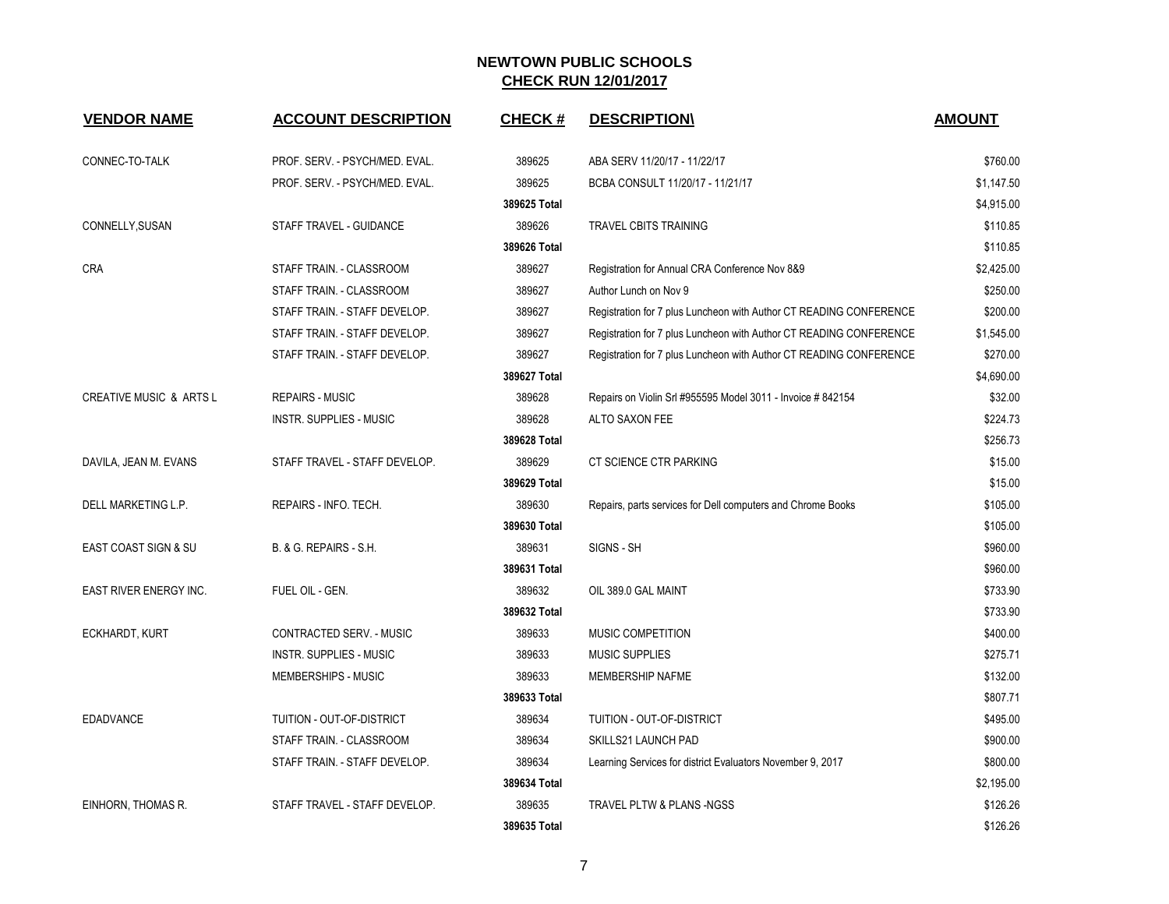| <b>VENDOR NAME</b>                 | <b>ACCOUNT DESCRIPTION</b>     | <b>CHECK#</b> | <b>DESCRIPTION</b>                                                 | <b>AMOUNT</b> |
|------------------------------------|--------------------------------|---------------|--------------------------------------------------------------------|---------------|
| CONNEC-TO-TALK                     | PROF. SERV. - PSYCH/MED. EVAL. | 389625        | ABA SERV 11/20/17 - 11/22/17                                       | \$760.00      |
|                                    | PROF. SERV. - PSYCH/MED. EVAL. | 389625        | BCBA CONSULT 11/20/17 - 11/21/17                                   | \$1,147.50    |
|                                    |                                | 389625 Total  |                                                                    | \$4,915.00    |
| CONNELLY, SUSAN                    | STAFF TRAVEL - GUIDANCE        | 389626        | TRAVEL CBITS TRAINING                                              | \$110.85      |
|                                    |                                | 389626 Total  |                                                                    | \$110.85      |
| <b>CRA</b>                         | STAFF TRAIN. - CLASSROOM       | 389627        | Registration for Annual CRA Conference Nov 8&9                     | \$2,425.00    |
|                                    | STAFF TRAIN. - CLASSROOM       | 389627        | Author Lunch on Nov 9                                              | \$250.00      |
|                                    | STAFF TRAIN. - STAFF DEVELOP.  | 389627        | Registration for 7 plus Luncheon with Author CT READING CONFERENCE | \$200.00      |
|                                    | STAFF TRAIN. - STAFF DEVELOP.  | 389627        | Registration for 7 plus Luncheon with Author CT READING CONFERENCE | \$1,545.00    |
|                                    | STAFF TRAIN. - STAFF DEVELOP.  | 389627        | Registration for 7 plus Luncheon with Author CT READING CONFERENCE | \$270.00      |
|                                    |                                | 389627 Total  |                                                                    | \$4,690.00    |
| <b>CREATIVE MUSIC &amp; ARTS L</b> | <b>REPAIRS - MUSIC</b>         | 389628        | Repairs on Violin Srl #955595 Model 3011 - Invoice #842154         | \$32.00       |
|                                    | <b>INSTR. SUPPLIES - MUSIC</b> | 389628        | ALTO SAXON FEE                                                     | \$224.73      |
|                                    |                                | 389628 Total  |                                                                    | \$256.73      |
| DAVILA, JEAN M. EVANS              | STAFF TRAVEL - STAFF DEVELOP.  | 389629        | CT SCIENCE CTR PARKING                                             | \$15.00       |
|                                    |                                | 389629 Total  |                                                                    | \$15.00       |
| DELL MARKETING L.P.                | REPAIRS - INFO. TECH.          | 389630        | Repairs, parts services for Dell computers and Chrome Books        | \$105.00      |
|                                    |                                | 389630 Total  |                                                                    | \$105.00      |
| <b>EAST COAST SIGN &amp; SU</b>    | B. & G. REPAIRS - S.H.         | 389631        | SIGNS - SH                                                         | \$960.00      |
|                                    |                                | 389631 Total  |                                                                    | \$960.00      |
| EAST RIVER ENERGY INC.             | FUEL OIL - GEN.                | 389632        | OIL 389.0 GAL MAINT                                                | \$733.90      |
|                                    |                                | 389632 Total  |                                                                    | \$733.90      |
| ECKHARDT, KURT                     | CONTRACTED SERV. - MUSIC       | 389633        | MUSIC COMPETITION                                                  | \$400.00      |
|                                    | <b>INSTR. SUPPLIES - MUSIC</b> | 389633        | <b>MUSIC SUPPLIES</b>                                              | \$275.71      |
|                                    | MEMBERSHIPS - MUSIC            | 389633        | MEMBERSHIP NAFME                                                   | \$132.00      |
|                                    |                                | 389633 Total  |                                                                    | \$807.71      |
| <b>EDADVANCE</b>                   | TUITION - OUT-OF-DISTRICT      | 389634        | TUITION - OUT-OF-DISTRICT                                          | \$495.00      |
|                                    | STAFF TRAIN. - CLASSROOM       | 389634        | SKILLS21 LAUNCH PAD                                                | \$900.00      |
|                                    | STAFF TRAIN. - STAFF DEVELOP.  | 389634        | Learning Services for district Evaluators November 9, 2017         | \$800.00      |
|                                    |                                | 389634 Total  |                                                                    | \$2,195.00    |
| EINHORN, THOMAS R.                 | STAFF TRAVEL - STAFF DEVELOP.  | 389635        | <b>TRAVEL PLTW &amp; PLANS -NGSS</b>                               | \$126.26      |
|                                    |                                | 389635 Total  |                                                                    | \$126.26      |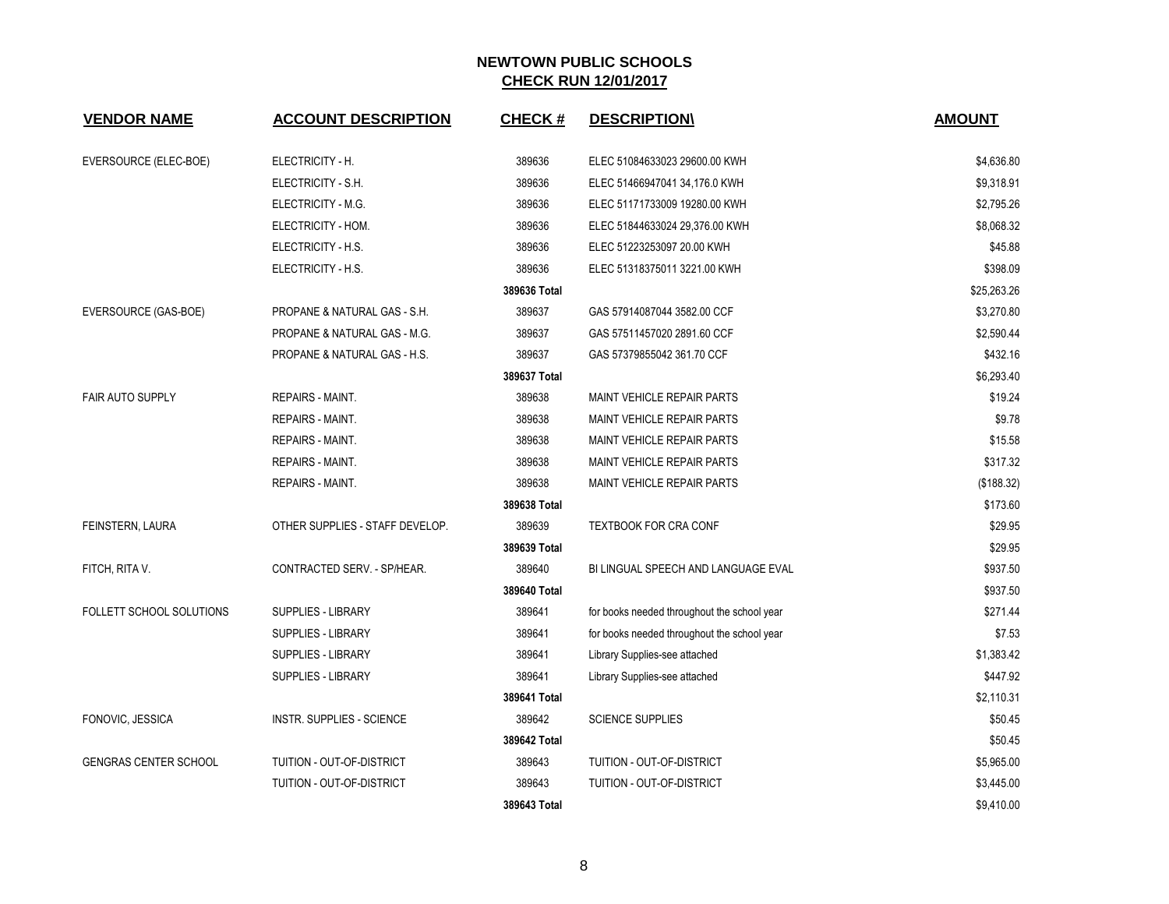| <b>VENDOR NAME</b>           | <b>ACCOUNT DESCRIPTION</b>       | <b>CHECK#</b> | <b>DESCRIPTION\</b>                         | <b>AMOUNT</b> |
|------------------------------|----------------------------------|---------------|---------------------------------------------|---------------|
| EVERSOURCE (ELEC-BOE)        | ELECTRICITY - H.                 | 389636        | ELEC 51084633023 29600.00 KWH               | \$4,636.80    |
|                              | ELECTRICITY - S.H.               | 389636        | ELEC 51466947041 34,176.0 KWH               | \$9,318.91    |
|                              | ELECTRICITY - M.G.               | 389636        | ELEC 51171733009 19280.00 KWH               | \$2,795.26    |
|                              | ELECTRICITY - HOM.               | 389636        | ELEC 51844633024 29,376.00 KWH              | \$8,068.32    |
|                              | ELECTRICITY - H.S.               | 389636        | ELEC 51223253097 20.00 KWH                  | \$45.88       |
|                              | ELECTRICITY - H.S.               | 389636        | ELEC 51318375011 3221.00 KWH                | \$398.09      |
|                              |                                  | 389636 Total  |                                             | \$25,263.26   |
| EVERSOURCE (GAS-BOE)         | PROPANE & NATURAL GAS - S.H.     | 389637        | GAS 57914087044 3582.00 CCF                 | \$3,270.80    |
|                              | PROPANE & NATURAL GAS - M.G.     | 389637        | GAS 57511457020 2891.60 CCF                 | \$2,590.44    |
|                              | PROPANE & NATURAL GAS - H.S.     | 389637        | GAS 57379855042 361.70 CCF                  | \$432.16      |
|                              |                                  | 389637 Total  |                                             | \$6,293.40    |
| <b>FAIR AUTO SUPPLY</b>      | <b>REPAIRS - MAINT.</b>          | 389638        | MAINT VEHICLE REPAIR PARTS                  | \$19.24       |
|                              | <b>REPAIRS - MAINT.</b>          | 389638        | <b>MAINT VEHICLE REPAIR PARTS</b>           | \$9.78        |
|                              | <b>REPAIRS - MAINT.</b>          | 389638        | <b>MAINT VEHICLE REPAIR PARTS</b>           | \$15.58       |
|                              | <b>REPAIRS - MAINT.</b>          | 389638        | <b>MAINT VEHICLE REPAIR PARTS</b>           | \$317.32      |
|                              | REPAIRS - MAINT.                 | 389638        | <b>MAINT VEHICLE REPAIR PARTS</b>           | (\$188.32)    |
|                              |                                  | 389638 Total  |                                             | \$173.60      |
| FEINSTERN, LAURA             | OTHER SUPPLIES - STAFF DEVELOP.  | 389639        | <b>TEXTBOOK FOR CRA CONF</b>                | \$29.95       |
|                              |                                  | 389639 Total  |                                             | \$29.95       |
| FITCH, RITA V.               | CONTRACTED SERV. - SP/HEAR.      | 389640        | BI LINGUAL SPEECH AND LANGUAGE EVAL         | \$937.50      |
|                              |                                  | 389640 Total  |                                             | \$937.50      |
| FOLLETT SCHOOL SOLUTIONS     | <b>SUPPLIES - LIBRARY</b>        | 389641        | for books needed throughout the school year | \$271.44      |
|                              | SUPPLIES - LIBRARY               | 389641        | for books needed throughout the school year | \$7.53        |
|                              | SUPPLIES - LIBRARY               | 389641        | Library Supplies-see attached               | \$1,383.42    |
|                              | <b>SUPPLIES - LIBRARY</b>        | 389641        | Library Supplies-see attached               | \$447.92      |
|                              |                                  | 389641 Total  |                                             | \$2,110.31    |
| FONOVIC, JESSICA             | <b>INSTR. SUPPLIES - SCIENCE</b> | 389642        | <b>SCIENCE SUPPLIES</b>                     | \$50.45       |
|                              |                                  | 389642 Total  |                                             | \$50.45       |
| <b>GENGRAS CENTER SCHOOL</b> | TUITION - OUT-OF-DISTRICT        | 389643        | TUITION - OUT-OF-DISTRICT                   | \$5,965.00    |
|                              | TUITION - OUT-OF-DISTRICT        | 389643        | TUITION - OUT-OF-DISTRICT                   | \$3,445.00    |
|                              |                                  | 389643 Total  |                                             | \$9,410.00    |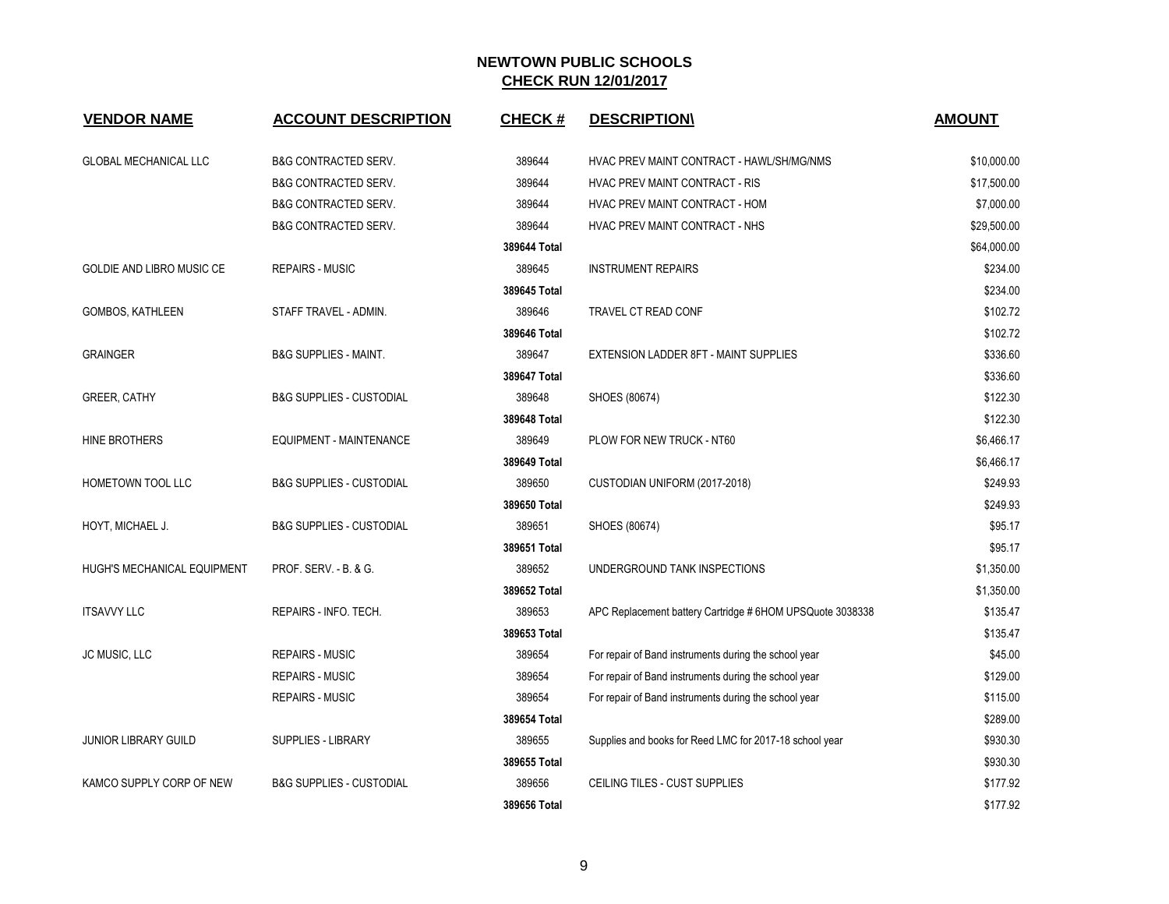| <b>VENDOR NAME</b>           | <b>ACCOUNT DESCRIPTION</b>          | <b>CHECK#</b> | <b>DESCRIPTION</b>                                        | <b>AMOUNT</b> |
|------------------------------|-------------------------------------|---------------|-----------------------------------------------------------|---------------|
| <b>GLOBAL MECHANICAL LLC</b> | <b>B&amp;G CONTRACTED SERV.</b>     | 389644        | HVAC PREV MAINT CONTRACT - HAWL/SH/MG/NMS                 | \$10,000.00   |
|                              | <b>B&amp;G CONTRACTED SERV.</b>     | 389644        | HVAC PREV MAINT CONTRACT - RIS                            | \$17,500.00   |
|                              | <b>B&amp;G CONTRACTED SERV.</b>     | 389644        | HVAC PREV MAINT CONTRACT - HOM                            | \$7,000.00    |
|                              | <b>B&amp;G CONTRACTED SERV.</b>     | 389644        | HVAC PREV MAINT CONTRACT - NHS                            | \$29,500.00   |
|                              |                                     | 389644 Total  |                                                           | \$64,000.00   |
| GOLDIE AND LIBRO MUSIC CE    | <b>REPAIRS - MUSIC</b>              | 389645        | <b>INSTRUMENT REPAIRS</b>                                 | \$234.00      |
|                              |                                     | 389645 Total  |                                                           | \$234.00      |
| GOMBOS, KATHLEEN             | STAFF TRAVEL - ADMIN.               | 389646        | <b>TRAVEL CT READ CONF</b>                                | \$102.72      |
|                              |                                     | 389646 Total  |                                                           | \$102.72      |
| <b>GRAINGER</b>              | <b>B&amp;G SUPPLIES - MAINT.</b>    | 389647        | EXTENSION LADDER 8FT - MAINT SUPPLIES                     | \$336.60      |
|                              |                                     | 389647 Total  |                                                           | \$336.60      |
| <b>GREER, CATHY</b>          | <b>B&amp;G SUPPLIES - CUSTODIAL</b> | 389648        | SHOES (80674)                                             | \$122.30      |
|                              |                                     | 389648 Total  |                                                           | \$122.30      |
| HINE BROTHERS                | EQUIPMENT - MAINTENANCE             | 389649        | PLOW FOR NEW TRUCK - NT60                                 | \$6,466.17    |
|                              |                                     | 389649 Total  |                                                           | \$6,466.17    |
| HOMETOWN TOOL LLC            | <b>B&amp;G SUPPLIES - CUSTODIAL</b> | 389650        | CUSTODIAN UNIFORM (2017-2018)                             | \$249.93      |
|                              |                                     | 389650 Total  |                                                           | \$249.93      |
| HOYT, MICHAEL J.             | <b>B&amp;G SUPPLIES - CUSTODIAL</b> | 389651        | SHOES (80674)                                             | \$95.17       |
|                              |                                     | 389651 Total  |                                                           | \$95.17       |
| HUGH'S MECHANICAL EQUIPMENT  | PROF. SERV. - B. & G.               | 389652        | UNDERGROUND TANK INSPECTIONS                              | \$1,350.00    |
|                              |                                     | 389652 Total  |                                                           | \$1,350.00    |
| <b>ITSAVVY LLC</b>           | REPAIRS - INFO. TECH.               | 389653        | APC Replacement battery Cartridge # 6HOM UPSQuote 3038338 | \$135.47      |
|                              |                                     | 389653 Total  |                                                           | \$135.47      |
| JC MUSIC, LLC                | <b>REPAIRS - MUSIC</b>              | 389654        | For repair of Band instruments during the school year     | \$45.00       |
|                              | <b>REPAIRS - MUSIC</b>              | 389654        | For repair of Band instruments during the school year     | \$129.00      |
|                              | <b>REPAIRS - MUSIC</b>              | 389654        | For repair of Band instruments during the school year     | \$115.00      |
|                              |                                     | 389654 Total  |                                                           | \$289.00      |
| <b>JUNIOR LIBRARY GUILD</b>  | <b>SUPPLIES - LIBRARY</b>           | 389655        | Supplies and books for Reed LMC for 2017-18 school year   | \$930.30      |
|                              |                                     | 389655 Total  |                                                           | \$930.30      |
| KAMCO SUPPLY CORP OF NEW     | <b>B&amp;G SUPPLIES - CUSTODIAL</b> | 389656        | <b>CEILING TILES - CUST SUPPLIES</b>                      | \$177.92      |
|                              |                                     | 389656 Total  |                                                           | \$177.92      |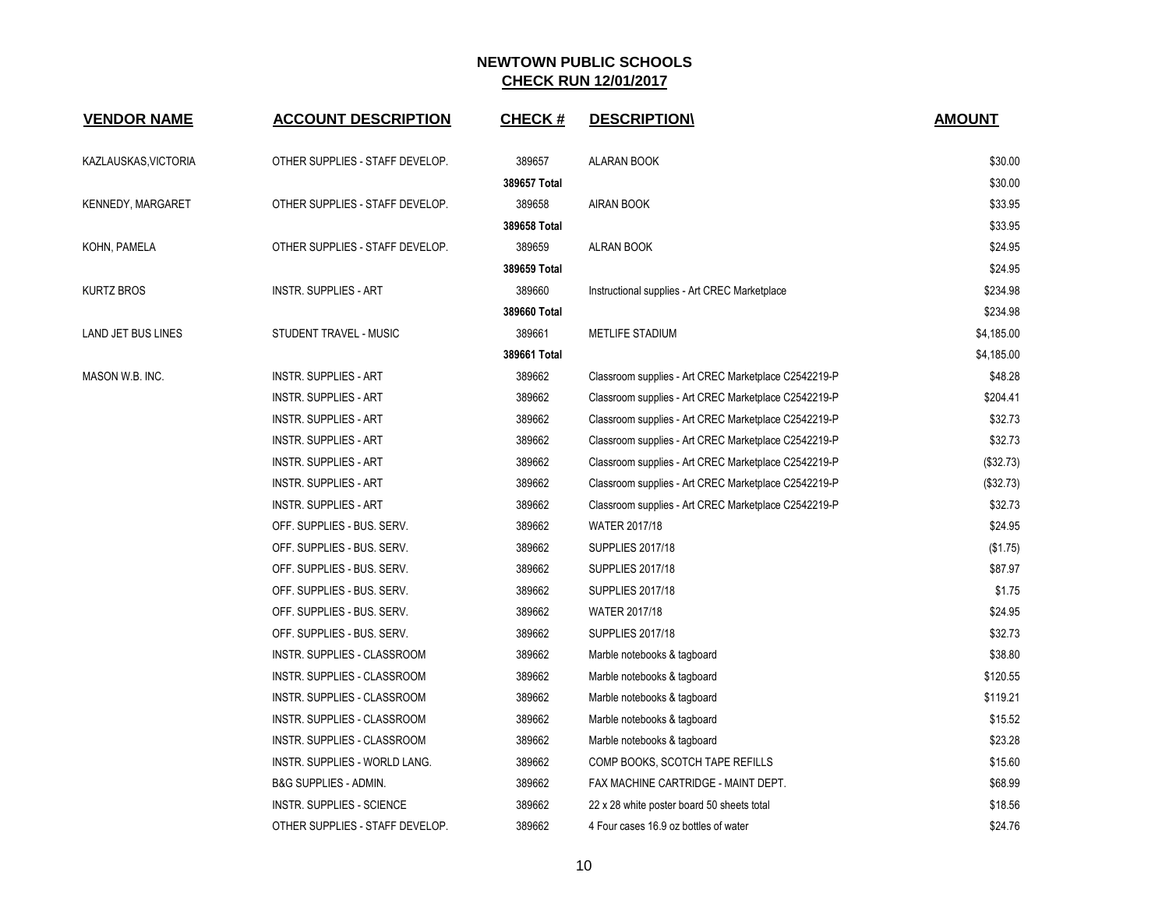| <b>VENDOR NAME</b>  | <b>ACCOUNT DESCRIPTION</b>       | <b>CHECK#</b> | <b>DESCRIPTION\</b>                                  | <b>AMOUNT</b> |
|---------------------|----------------------------------|---------------|------------------------------------------------------|---------------|
| KAZLAUSKAS VICTORIA | OTHER SUPPLIES - STAFF DEVELOP.  | 389657        | <b>ALARAN BOOK</b>                                   | \$30.00       |
|                     |                                  | 389657 Total  |                                                      | \$30.00       |
| KENNEDY, MARGARET   | OTHER SUPPLIES - STAFF DEVELOP.  | 389658        | AIRAN BOOK                                           | \$33.95       |
|                     |                                  | 389658 Total  |                                                      | \$33.95       |
| KOHN, PAMELA        | OTHER SUPPLIES - STAFF DEVELOP.  | 389659        | ALRAN BOOK                                           | \$24.95       |
|                     |                                  | 389659 Total  |                                                      | \$24.95       |
| KURTZ BROS          | <b>INSTR. SUPPLIES - ART</b>     | 389660        | Instructional supplies - Art CREC Marketplace        | \$234.98      |
|                     |                                  | 389660 Total  |                                                      | \$234.98      |
| LAND JET BUS LINES  | STUDENT TRAVEL - MUSIC           | 389661        | METLIFE STADIUM                                      | \$4,185.00    |
|                     |                                  | 389661 Total  |                                                      | \$4,185.00    |
| MASON W.B. INC.     | <b>INSTR. SUPPLIES - ART</b>     | 389662        | Classroom supplies - Art CREC Marketplace C2542219-P | \$48.28       |
|                     | <b>INSTR. SUPPLIES - ART</b>     | 389662        | Classroom supplies - Art CREC Marketplace C2542219-P | \$204.41      |
|                     | <b>INSTR. SUPPLIES - ART</b>     | 389662        | Classroom supplies - Art CREC Marketplace C2542219-P | \$32.73       |
|                     | <b>INSTR. SUPPLIES - ART</b>     | 389662        | Classroom supplies - Art CREC Marketplace C2542219-P | \$32.73       |
|                     | <b>INSTR. SUPPLIES - ART</b>     | 389662        | Classroom supplies - Art CREC Marketplace C2542219-P | (\$32.73)     |
|                     | <b>INSTR. SUPPLIES - ART</b>     | 389662        | Classroom supplies - Art CREC Marketplace C2542219-P | (\$32.73)     |
|                     | <b>INSTR. SUPPLIES - ART</b>     | 389662        | Classroom supplies - Art CREC Marketplace C2542219-P | \$32.73       |
|                     | OFF. SUPPLIES - BUS. SERV.       | 389662        | <b>WATER 2017/18</b>                                 | \$24.95       |
|                     | OFF. SUPPLIES - BUS. SERV.       | 389662        | <b>SUPPLIES 2017/18</b>                              | (\$1.75)      |
|                     | OFF. SUPPLIES - BUS. SERV.       | 389662        | <b>SUPPLIES 2017/18</b>                              | \$87.97       |
|                     | OFF. SUPPLIES - BUS. SERV.       | 389662        | <b>SUPPLIES 2017/18</b>                              | \$1.75        |
|                     | OFF. SUPPLIES - BUS. SERV.       | 389662        | <b>WATER 2017/18</b>                                 | \$24.95       |
|                     | OFF. SUPPLIES - BUS. SERV.       | 389662        | <b>SUPPLIES 2017/18</b>                              | \$32.73       |
|                     | INSTR. SUPPLIES - CLASSROOM      | 389662        | Marble notebooks & tagboard                          | \$38.80       |
|                     | INSTR. SUPPLIES - CLASSROOM      | 389662        | Marble notebooks & tagboard                          | \$120.55      |
|                     | INSTR. SUPPLIES - CLASSROOM      | 389662        | Marble notebooks & tagboard                          | \$119.21      |
|                     | INSTR. SUPPLIES - CLASSROOM      | 389662        | Marble notebooks & tagboard                          | \$15.52       |
|                     | INSTR. SUPPLIES - CLASSROOM      | 389662        | Marble notebooks & tagboard                          | \$23.28       |
|                     | INSTR. SUPPLIES - WORLD LANG.    | 389662        | COMP BOOKS, SCOTCH TAPE REFILLS                      | \$15.60       |
|                     | <b>B&amp;G SUPPLIES - ADMIN.</b> | 389662        | FAX MACHINE CARTRIDGE - MAINT DEPT.                  | \$68.99       |
|                     | INSTR. SUPPLIES - SCIENCE        | 389662        | 22 x 28 white poster board 50 sheets total           | \$18.56       |
|                     | OTHER SUPPLIES - STAFF DEVELOP.  | 389662        | 4 Four cases 16.9 oz bottles of water                | \$24.76       |
|                     |                                  |               |                                                      |               |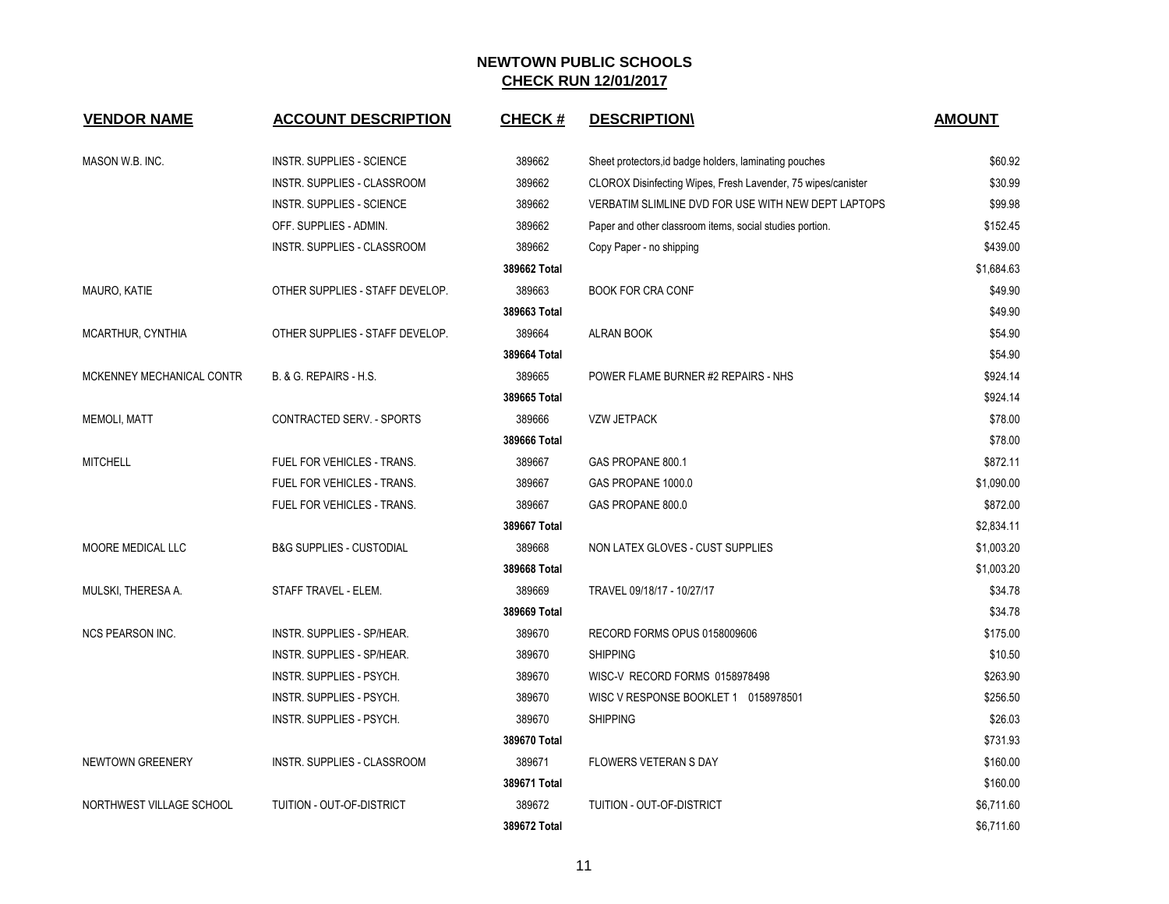| <b>VENDOR NAME</b>        | <b>ACCOUNT DESCRIPTION</b>          | <b>CHECK#</b> | <b>DESCRIPTION</b>                                           | <b>AMOUNT</b> |
|---------------------------|-------------------------------------|---------------|--------------------------------------------------------------|---------------|
|                           |                                     |               |                                                              |               |
| MASON W.B. INC.           | INSTR. SUPPLIES - SCIENCE           | 389662        | Sheet protectors, id badge holders, laminating pouches       | \$60.92       |
|                           | INSTR. SUPPLIES - CLASSROOM         | 389662        | CLOROX Disinfecting Wipes, Fresh Lavender, 75 wipes/canister | \$30.99       |
|                           | <b>INSTR. SUPPLIES - SCIENCE</b>    | 389662        | VERBATIM SLIMLINE DVD FOR USE WITH NEW DEPT LAPTOPS          | \$99.98       |
|                           | OFF. SUPPLIES - ADMIN.              | 389662        | Paper and other classroom items, social studies portion.     | \$152.45      |
|                           | <b>INSTR. SUPPLIES - CLASSROOM</b>  | 389662        | Copy Paper - no shipping                                     | \$439.00      |
|                           |                                     | 389662 Total  |                                                              | \$1,684.63    |
| MAURO, KATIE              | OTHER SUPPLIES - STAFF DEVELOP.     | 389663        | <b>BOOK FOR CRA CONF</b>                                     | \$49.90       |
|                           |                                     | 389663 Total  |                                                              | \$49.90       |
| MCARTHUR, CYNTHIA         | OTHER SUPPLIES - STAFF DEVELOP.     | 389664        | <b>ALRAN BOOK</b>                                            | \$54.90       |
|                           |                                     | 389664 Total  |                                                              | \$54.90       |
| MCKENNEY MECHANICAL CONTR | B. & G. REPAIRS - H.S.              | 389665        | POWER FLAME BURNER #2 REPAIRS - NHS                          | \$924.14      |
|                           |                                     | 389665 Total  |                                                              | \$924.14      |
| <b>MEMOLI, MATT</b>       | CONTRACTED SERV. - SPORTS           | 389666        | <b>VZW JETPACK</b>                                           | \$78.00       |
|                           |                                     | 389666 Total  |                                                              | \$78.00       |
| <b>MITCHELL</b>           | FUEL FOR VEHICLES - TRANS.          | 389667        | GAS PROPANE 800.1                                            | \$872.11      |
|                           | FUEL FOR VEHICLES - TRANS.          | 389667        | GAS PROPANE 1000.0                                           | \$1,090.00    |
|                           | FUEL FOR VEHICLES - TRANS.          | 389667        | GAS PROPANE 800.0                                            | \$872.00      |
|                           |                                     | 389667 Total  |                                                              | \$2,834.11    |
| MOORE MEDICAL LLC         | <b>B&amp;G SUPPLIES - CUSTODIAL</b> | 389668        | NON LATEX GLOVES - CUST SUPPLIES                             | \$1,003.20    |
|                           |                                     | 389668 Total  |                                                              | \$1,003.20    |
| MULSKI, THERESA A.        | STAFF TRAVEL - ELEM.                | 389669        | TRAVEL 09/18/17 - 10/27/17                                   | \$34.78       |
|                           |                                     | 389669 Total  |                                                              | \$34.78       |
| NCS PEARSON INC.          | INSTR. SUPPLIES - SP/HEAR.          | 389670        | RECORD FORMS OPUS 0158009606                                 | \$175.00      |
|                           | <b>INSTR. SUPPLIES - SP/HEAR.</b>   | 389670        | <b>SHIPPING</b>                                              | \$10.50       |
|                           | INSTR. SUPPLIES - PSYCH.            | 389670        | WISC-V RECORD FORMS 0158978498                               | \$263.90      |
|                           | <b>INSTR. SUPPLIES - PSYCH.</b>     | 389670        | WISC V RESPONSE BOOKLET 1 0158978501                         | \$256.50      |
|                           | INSTR. SUPPLIES - PSYCH.            | 389670        | <b>SHIPPING</b>                                              | \$26.03       |
|                           |                                     | 389670 Total  |                                                              | \$731.93      |
| <b>NEWTOWN GREENERY</b>   | INSTR. SUPPLIES - CLASSROOM         | 389671        | FLOWERS VETERAN S DAY                                        | \$160.00      |
|                           |                                     | 389671 Total  |                                                              | \$160.00      |
| NORTHWEST VILLAGE SCHOOL  | TUITION - OUT-OF-DISTRICT           | 389672        | TUITION - OUT-OF-DISTRICT                                    | \$6,711.60    |
|                           |                                     | 389672 Total  |                                                              | \$6,711.60    |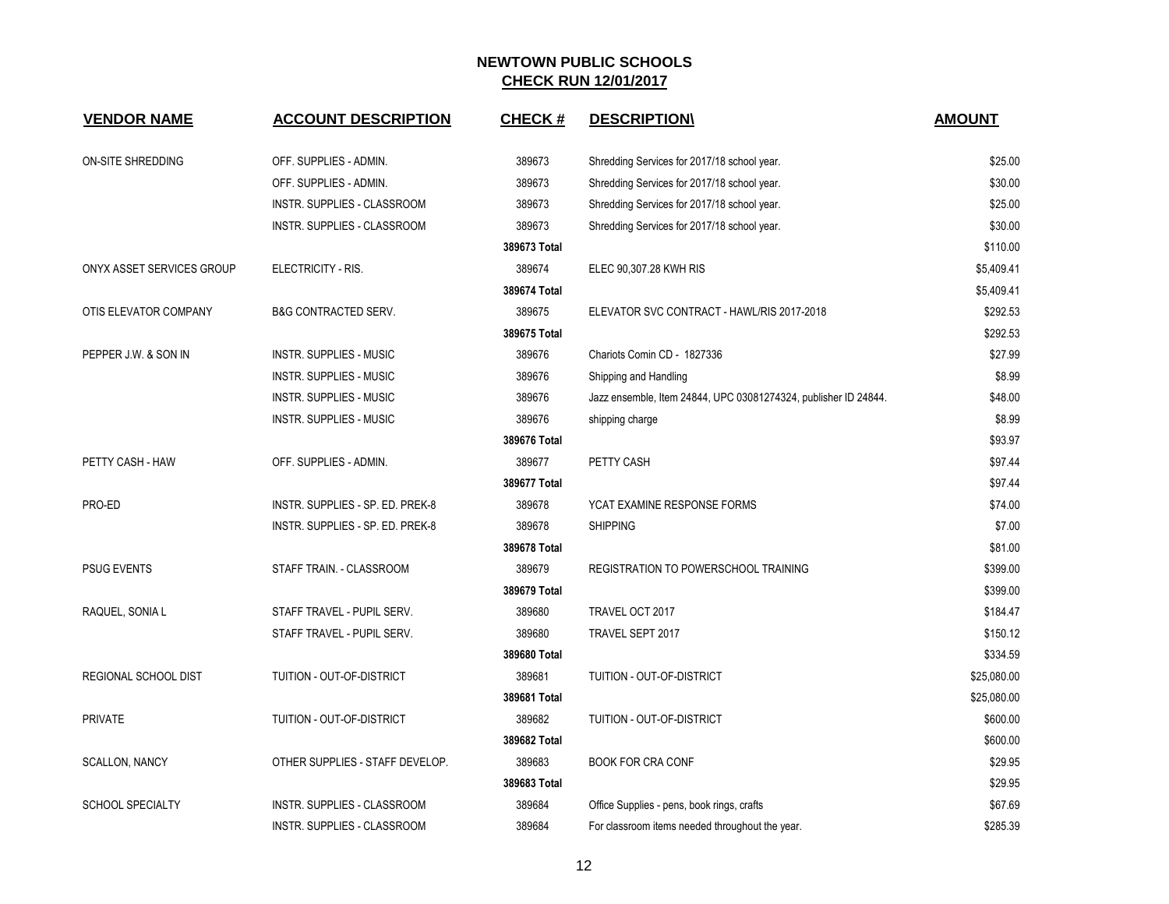| <b>VENDOR NAME</b>          | <b>ACCOUNT DESCRIPTION</b>       | <b>CHECK#</b> | <b>DESCRIPTION\</b>                                             | <b>AMOUNT</b> |
|-----------------------------|----------------------------------|---------------|-----------------------------------------------------------------|---------------|
| ON-SITE SHREDDING           | OFF. SUPPLIES - ADMIN.           | 389673        | Shredding Services for 2017/18 school year.                     | \$25.00       |
|                             | OFF. SUPPLIES - ADMIN.           | 389673        | Shredding Services for 2017/18 school year.                     | \$30.00       |
|                             | INSTR. SUPPLIES - CLASSROOM      | 389673        | Shredding Services for 2017/18 school year.                     | \$25.00       |
|                             | INSTR. SUPPLIES - CLASSROOM      | 389673        | Shredding Services for 2017/18 school year.                     | \$30.00       |
|                             |                                  | 389673 Total  |                                                                 | \$110.00      |
| ONYX ASSET SERVICES GROUP   | ELECTRICITY - RIS.               | 389674        | ELEC 90,307.28 KWH RIS                                          | \$5,409.41    |
|                             |                                  | 389674 Total  |                                                                 | \$5,409.41    |
| OTIS ELEVATOR COMPANY       | <b>B&amp;G CONTRACTED SERV.</b>  | 389675        | ELEVATOR SVC CONTRACT - HAWL/RIS 2017-2018                      | \$292.53      |
|                             |                                  | 389675 Total  |                                                                 | \$292.53      |
| PEPPER J.W. & SON IN        | INSTR. SUPPLIES - MUSIC          | 389676        | Chariots Comin CD - 1827336                                     | \$27.99       |
|                             | <b>INSTR. SUPPLIES - MUSIC</b>   | 389676        | Shipping and Handling                                           | \$8.99        |
|                             | <b>INSTR. SUPPLIES - MUSIC</b>   | 389676        | Jazz ensemble, Item 24844, UPC 03081274324, publisher ID 24844. | \$48.00       |
|                             | <b>INSTR. SUPPLIES - MUSIC</b>   | 389676        | shipping charge                                                 | \$8.99        |
|                             |                                  | 389676 Total  |                                                                 | \$93.97       |
| PETTY CASH - HAW            | OFF. SUPPLIES - ADMIN.           | 389677        | PETTY CASH                                                      | \$97.44       |
|                             |                                  | 389677 Total  |                                                                 | \$97.44       |
| PRO-ED                      | INSTR. SUPPLIES - SP. ED. PREK-8 | 389678        | YCAT EXAMINE RESPONSE FORMS                                     | \$74.00       |
|                             | INSTR. SUPPLIES - SP. ED. PREK-8 | 389678        | <b>SHIPPING</b>                                                 | \$7.00        |
|                             |                                  | 389678 Total  |                                                                 | \$81.00       |
| <b>PSUG EVENTS</b>          | STAFF TRAIN. - CLASSROOM         | 389679        | REGISTRATION TO POWERSCHOOL TRAINING                            | \$399.00      |
|                             |                                  | 389679 Total  |                                                                 | \$399.00      |
| RAQUEL, SONIA L             | STAFF TRAVEL - PUPIL SERV.       | 389680        | TRAVEL OCT 2017                                                 | \$184.47      |
|                             | STAFF TRAVEL - PUPIL SERV.       | 389680        | TRAVEL SEPT 2017                                                | \$150.12      |
|                             |                                  | 389680 Total  |                                                                 | \$334.59      |
| <b>REGIONAL SCHOOL DIST</b> | TUITION - OUT-OF-DISTRICT        | 389681        | TUITION - OUT-OF-DISTRICT                                       | \$25,080.00   |
|                             |                                  | 389681 Total  |                                                                 | \$25,080.00   |
| <b>PRIVATE</b>              | TUITION - OUT-OF-DISTRICT        | 389682        | TUITION - OUT-OF-DISTRICT                                       | \$600.00      |
|                             |                                  | 389682 Total  |                                                                 | \$600.00      |
| <b>SCALLON, NANCY</b>       | OTHER SUPPLIES - STAFF DEVELOP.  | 389683        | <b>BOOK FOR CRA CONF</b>                                        | \$29.95       |
|                             |                                  | 389683 Total  |                                                                 | \$29.95       |
| <b>SCHOOL SPECIALTY</b>     | INSTR. SUPPLIES - CLASSROOM      | 389684        | Office Supplies - pens, book rings, crafts                      | \$67.69       |
|                             | INSTR. SUPPLIES - CLASSROOM      | 389684        | For classroom items needed throughout the year.                 | \$285.39      |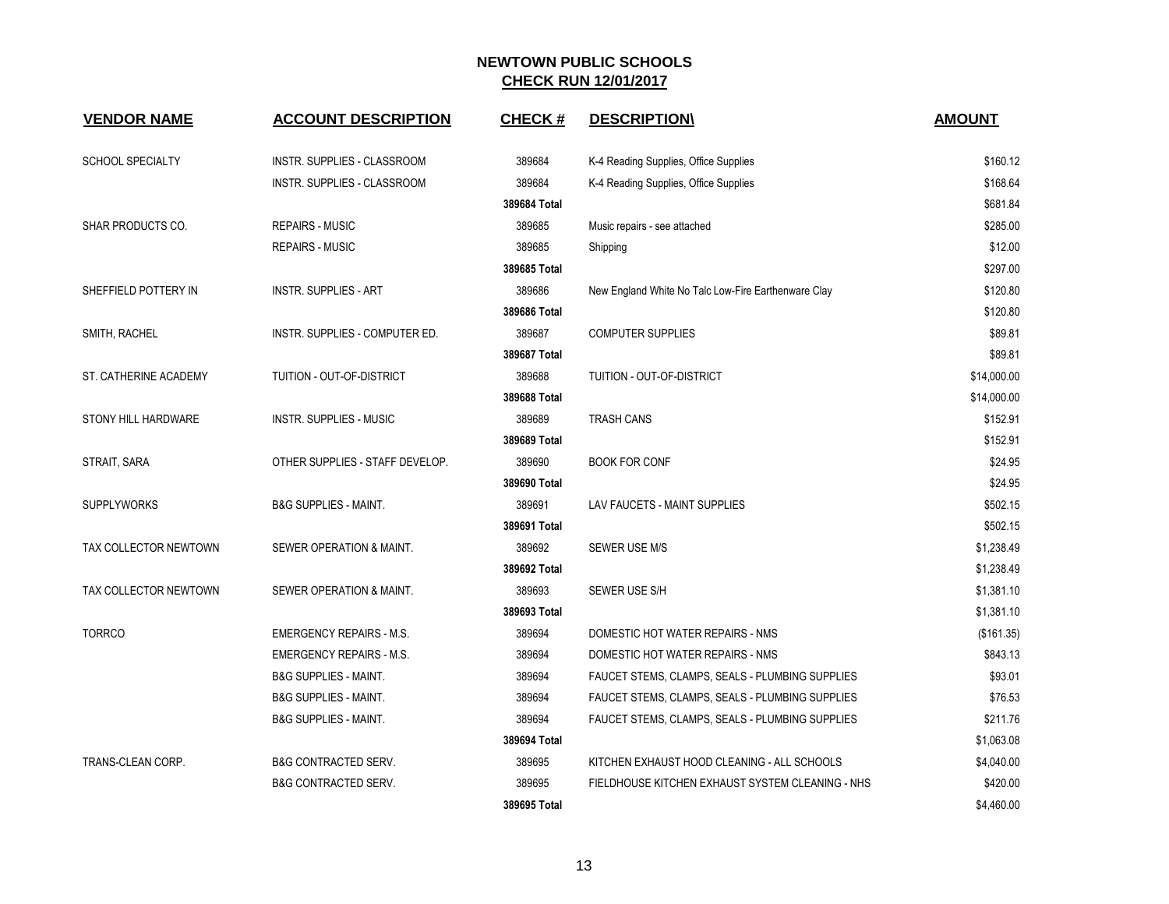| <b>VENDOR NAME</b>      | <b>ACCOUNT DESCRIPTION</b>       | <b>CHECK#</b> | <b>DESCRIPTION</b>                                  | <b>AMOUNT</b> |
|-------------------------|----------------------------------|---------------|-----------------------------------------------------|---------------|
| <b>SCHOOL SPECIALTY</b> | INSTR. SUPPLIES - CLASSROOM      | 389684        |                                                     | \$160.12      |
|                         | INSTR. SUPPLIES - CLASSROOM      | 389684        | K-4 Reading Supplies, Office Supplies               | \$168.64      |
|                         |                                  | 389684 Total  | K-4 Reading Supplies, Office Supplies               | \$681.84      |
| SHAR PRODUCTS CO.       | <b>REPAIRS - MUSIC</b>           | 389685        | Music repairs - see attached                        | \$285.00      |
|                         | <b>REPAIRS - MUSIC</b>           | 389685        | Shipping                                            | \$12.00       |
|                         |                                  | 389685 Total  |                                                     | \$297.00      |
| SHEFFIELD POTTERY IN    | <b>INSTR. SUPPLIES - ART</b>     | 389686        | New England White No Talc Low-Fire Earthenware Clay | \$120.80      |
|                         |                                  | 389686 Total  |                                                     | \$120.80      |
| SMITH, RACHEL           | INSTR. SUPPLIES - COMPUTER ED.   | 389687        | <b>COMPUTER SUPPLIES</b>                            | \$89.81       |
|                         |                                  | 389687 Total  |                                                     | \$89.81       |
| ST. CATHERINE ACADEMY   | TUITION - OUT-OF-DISTRICT        | 389688        | TUITION - OUT-OF-DISTRICT                           | \$14,000.00   |
|                         |                                  | 389688 Total  |                                                     | \$14,000.00   |
| STONY HILL HARDWARE     | <b>INSTR. SUPPLIES - MUSIC</b>   | 389689        | <b>TRASH CANS</b>                                   | \$152.91      |
|                         |                                  | 389689 Total  |                                                     | \$152.91      |
| STRAIT, SARA            | OTHER SUPPLIES - STAFF DEVELOP.  | 389690        | <b>BOOK FOR CONF</b>                                | \$24.95       |
|                         |                                  | 389690 Total  |                                                     | \$24.95       |
| <b>SUPPLYWORKS</b>      | <b>B&amp;G SUPPLIES - MAINT.</b> | 389691        | LAV FAUCETS - MAINT SUPPLIES                        | \$502.15      |
|                         |                                  | 389691 Total  |                                                     | \$502.15      |
| TAX COLLECTOR NEWTOWN   | SEWER OPERATION & MAINT.         | 389692        | SEWER USE M/S                                       | \$1,238.49    |
|                         |                                  | 389692 Total  |                                                     | \$1,238.49    |
| TAX COLLECTOR NEWTOWN   | SEWER OPERATION & MAINT.         | 389693        | SEWER USE S/H                                       | \$1,381.10    |
|                         |                                  | 389693 Total  |                                                     | \$1,381.10    |
| <b>TORRCO</b>           | <b>EMERGENCY REPAIRS - M.S.</b>  | 389694        | DOMESTIC HOT WATER REPAIRS - NMS                    | (\$161.35)    |
|                         | <b>EMERGENCY REPAIRS - M.S.</b>  | 389694        | DOMESTIC HOT WATER REPAIRS - NMS                    | \$843.13      |
|                         | <b>B&amp;G SUPPLIES - MAINT.</b> | 389694        | FAUCET STEMS, CLAMPS, SEALS - PLUMBING SUPPLIES     | \$93.01       |
|                         | <b>B&amp;G SUPPLIES - MAINT.</b> | 389694        | FAUCET STEMS, CLAMPS, SEALS - PLUMBING SUPPLIES     | \$76.53       |
|                         | <b>B&amp;G SUPPLIES - MAINT.</b> | 389694        | FAUCET STEMS, CLAMPS, SEALS - PLUMBING SUPPLIES     | \$211.76      |
|                         |                                  | 389694 Total  |                                                     | \$1,063.08    |
| TRANS-CLEAN CORP.       | <b>B&amp;G CONTRACTED SERV.</b>  | 389695        | KITCHEN EXHAUST HOOD CLEANING - ALL SCHOOLS         | \$4,040.00    |
|                         | <b>B&amp;G CONTRACTED SERV.</b>  | 389695        | FIELDHOUSE KITCHEN EXHAUST SYSTEM CLEANING - NHS    | \$420.00      |
|                         |                                  | 389695 Total  |                                                     | \$4,460.00    |